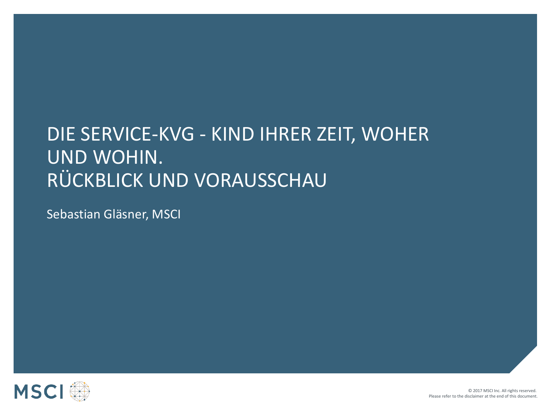# DIE SERVICE-KVG - KIND IHRER ZEIT, WOHER UND WOHIN. RÜCKBLICK UND VORAUSSCHAU

Sebastian Gläsner, MSCI

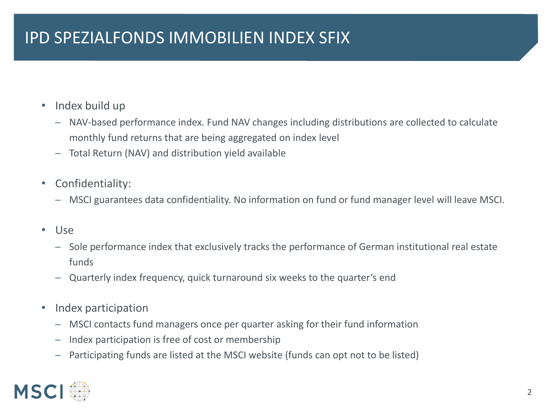## IPD SPEZIALFONDS IMMOBILIEN INDEX SFIX

- Index build up
	- $-$  NAV-based performance index. Fund NAV changes including distributions are collected to calculate monthly fund returns that are being aggregated on index level
	- ─ Total Return (NAV) and distribution yield available
- Confidentiality:
	- ─ MSCI guarantees data confidentiality. No information on fund or fund manager level will leave MSCI.
- Use
	- Sole performance index that exclusively tracks the performance of German institutional real estate funds
	- ─ Quarterly index frequency, quick turnaround six weeks to the quarter's end
- Index participation
	- ─ MSCI contacts fund managers once per quarter asking for their fund information
	- ─ Index participation is free of cost or membership
	- $-$  Participating funds are listed at the MSCI website (funds can opt not to be listed)

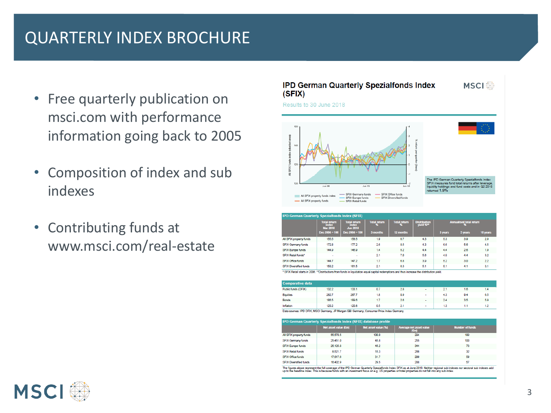## QUARTERLY INDEX BROCHURE

- Free quarterly publication on msci.com with performance information going back to 2005
- Composition of index and sub indexes
- Contributing funds at www.msci.com/real-estate



| <b>IPD German Quarterly Spezialfonds Index (SFIX)</b>                                                                                   |                                                 |                                                 |                     |                          |                                  |                                |         |          |
|-----------------------------------------------------------------------------------------------------------------------------------------|-------------------------------------------------|-------------------------------------------------|---------------------|--------------------------|----------------------------------|--------------------------------|---------|----------|
|                                                                                                                                         | <b>Total return</b><br>index<br><b>Mar 2018</b> | <b>Total return</b><br>index<br><b>Jun 2018</b> | <b>Total return</b> | <b>Total return</b><br>х | <b>Distribution</b><br>yield %** | <b>Annualised total return</b> |         |          |
|                                                                                                                                         | Dec $2004 = 100$                                | $Dec 2004 = 100$                                | 3 months            | 12 months                |                                  | 3 years                        | 5 years | 10 years |
| All SFIX property funds                                                                                                                 | 155.5                                           | 158.5                                           | 1.9                 | 6.7                      | 4.3                              | 5.3                            | 3.9     | 29       |
| <b>SFIX Germany funds</b>                                                                                                               | 172.8                                           | 177.2                                           | 2.6                 | 8.5                      | 4.3                              | 6.6                            | 5.6     | 4.5      |
| SFIX Europe funds                                                                                                                       | 144.9                                           | 146.9                                           | 1.4                 | 52                       | 4.4                              | 4.4                            | 28      | 1.9      |
| SFIX Retail funds"                                                                                                                      | $\overline{\phantom{a}}$                        | $\overline{\phantom{a}}$                        | 2.1                 | 7.0                      | 5.6                              | 4.9                            | 4.4     | 3.2      |
| SFIX Office funds                                                                                                                       | 144.7                                           | 147.2                                           | 1.7                 | 6.8                      | 3.9                              | 5.2                            | 30      | $22^{1}$ |
| <b>SFIX Diversified funds</b>                                                                                                           | 158.2                                           | 161.5                                           | 2.1                 | 6.3                      | 5.1                              | 5.1                            | 4.1     | 3.1      |
| 1 SEIX Ratal starts in 2006. "Distributions from funds in limitation agual capital redemptions and thus increase the distribution vield |                                                 |                                                 |                     |                          |                                  |                                |         |          |

| <b>Comparative data</b> |       |       |     |     |              |     |     |     |
|-------------------------|-------|-------|-----|-----|--------------|-----|-----|-----|
| Public funds (OFIX)     | 132.2 | 133.1 | 0.7 | 2.8 | $\sim$       | 2.1 | 1.6 | 1.4 |
| Equities                | 282.7 | 287.7 | 1.8 | 0.9 | $\mathbf{r}$ | 4.3 | 9.4 | 6.5 |
| <b>Bonds</b>            | 186.5 | 189.6 | 1.7 | 2.6 |              | 2.4 | 3.5 | 5.9 |
| Inflation               | 120.2 | 120.8 | 0.5 | 21  | $\sim$       | 1.3 |     | 12  |

Data sources: IPD OFIX, MSCI Germany, JP Morgan GBI Germany, Consumer Price Index Germany

| <b>IPD German Quarterly Spezialfonds Index (SFIX) database profile</b> |                      |                     |                                           |                        |  |  |  |
|------------------------------------------------------------------------|----------------------|---------------------|-------------------------------------------|------------------------|--|--|--|
|                                                                        | Net asset value (Em) | Net asset value (%) | Average net asset value<br>$(\epsilon_m)$ | <b>Number of funds</b> |  |  |  |
| All SFIX property funds                                                | 55,570.5             | 100.0               | 294                                       | 189                    |  |  |  |
| SFIX Germany funds                                                     | 25.451.0             | 45.8                | 255                                       | 100                    |  |  |  |
| SFIX Europe funds                                                      | 25, 125.8            | 45.2                | 344                                       | 73                     |  |  |  |
| <b>SFIX Retail funds</b>                                               | 8.521.7              | 15.3                | 266                                       | 32                     |  |  |  |
| SEIX Office funds                                                      | 17,617.6             | 31.7                | 299                                       | 50                     |  |  |  |
| <b>SFIX Diversified funds</b>                                          | 16,402.9             | 29.5                | 288                                       | 57                     |  |  |  |

.<br>The figures above represent the full coverage of the IPD German Quarterly Spezialfonds Index SFIX as at June 2018. Neither regional sub indexes nor sectoral sub inc p to the headline index. This is because funds with an investment focus on e.g. US properties or hotel properties do not fall into any sub index

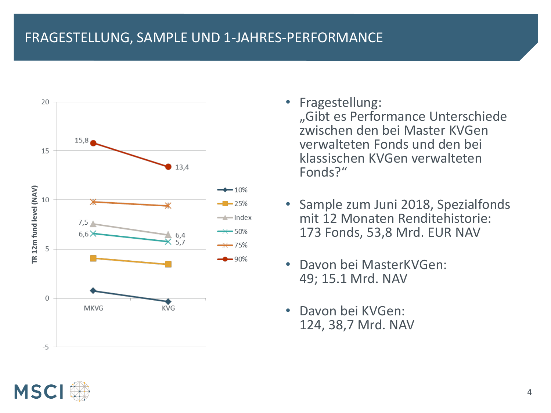### FRAGESTELLUNG, SAMPLE UND 1-JAHRES-PERFORMANCE



- Fragestellung: "Gibt es Performance Unterschiede zwischen den bei Master KVGen verwalteten Fonds und den bei klassischen KVGen verwalteten Fonds?"
- Sample zum Juni 2018, Spezialfonds mit 12 Monaten Renditehistorie: 173 Fonds, 53,8 Mrd. EUR NAV
- Davon bei MasterKVGen: 49; 15.1 Mrd. NAV
- Davon bei KVGen: 124, 38,7 Mrd. NAV

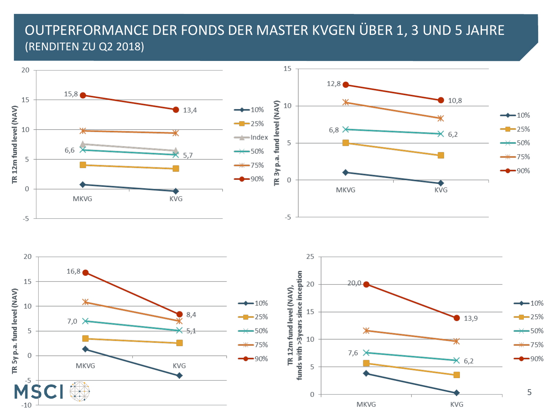### OUTPERFORMANCE DER FONDS DER MASTER KVGEN ÜBER 1, 3 UND 5 JAHRE (RENDITEN ZU Q2 2018)

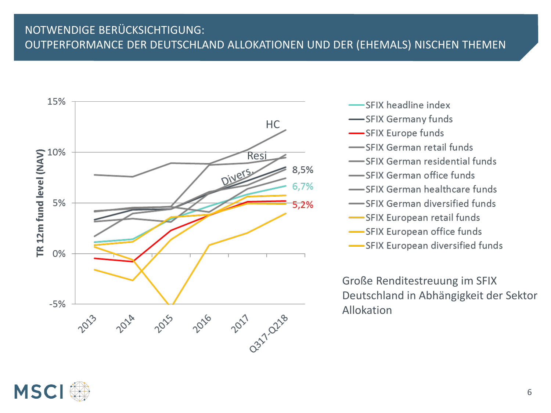#### NOTWENDIGE BERÜCKSICHTIGUNG: OUTPERFORMANCE DER DEUTSCHLAND ALLOKATIONEN UND DER (EHEMALS) NISCHEN THEMEN



-SFIX headline index -SFIX Germany funds -SFIX Europe funds SFIX German retail funds SFIX German residential funds SFIX German office funds SFIX German healthcare funds -SFIX German diversified funds -SFIX European retail funds -SFIX European office funds -SFIX European diversified funds

Große Renditestreuung im SFIX Deutschland in Abhängigkeit der Sektor Allokation

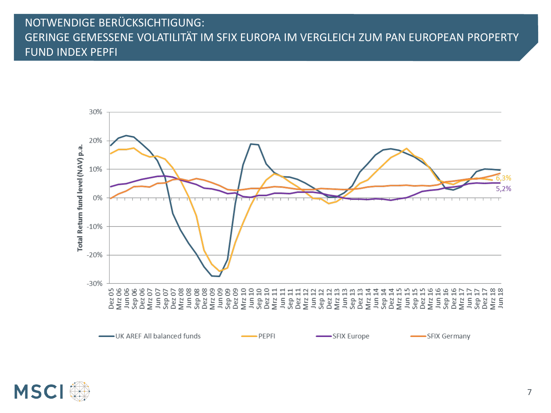#### NOTWENDIGE BERÜCKSICHTIGUNG: GERINGE GEMESSENE VOLATILITÄT IM SFIX EUROPA IM VERGLEICH ZUM PAN EUROPEAN PROPERTY FUND INDEX PEPFI



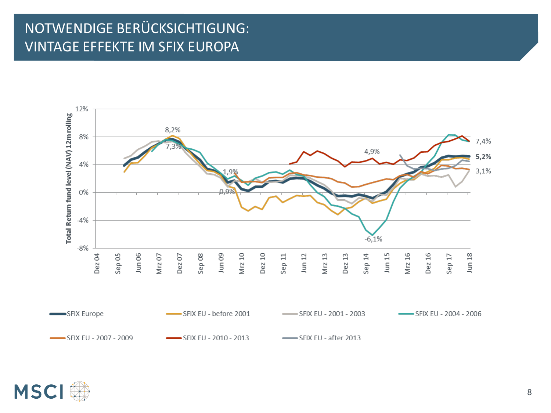### NOTWENDIGE BERÜCKSICHTIGUNG: **VINTAGE EFFEKTE IM SFIX EUROPA**



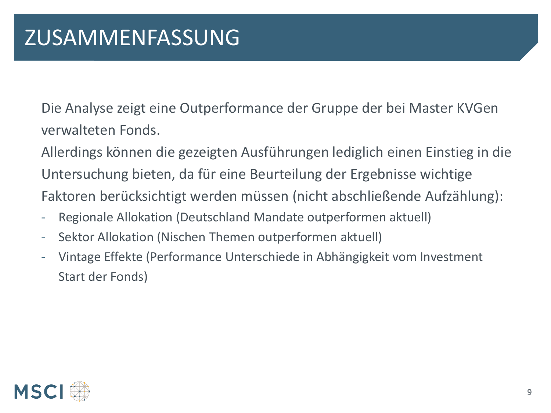Die Analyse zeigt eine Outperformance der Gruppe der bei Master KVGen verwalteten Fonds.

Allerdings können die gezeigten Ausführungen lediglich einen Einstieg in die Untersuchung bieten, da für eine Beurteilung der Ergebnisse wichtige Faktoren berücksichtigt werden müssen (nicht abschließende Aufzählung):

- Regionale Allokation (Deutschland Mandate outperformen aktuell)
- Sektor Allokation (Nischen Themen outperformen aktuell)
- Vintage Effekte (Performance Unterschiede in Abhängigkeit vom Investment Start der Fonds)

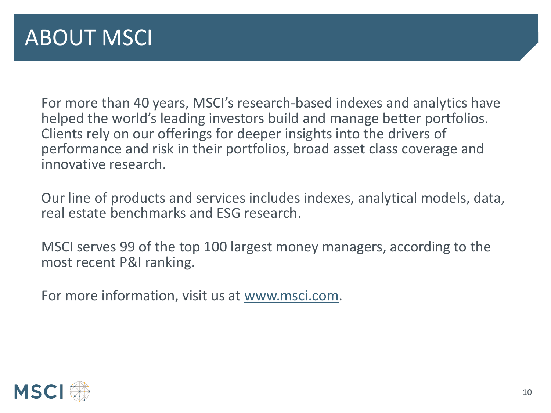For more than 40 years, MSCI's research-based indexes and analytics have helped the world's leading investors build and manage better portfolios. Clients rely on our offerings for deeper insights into the drivers of performance and risk in their portfolios, broad asset class coverage and innovative research.

Our line of products and services includes indexes, analytical models, data, real estate benchmarks and ESG research.

MSCI serves 99 of the top 100 largest money managers, according to the most recent P&I ranking.

For more information, visit us at [www.msci.com.](http://www.msci.com/)